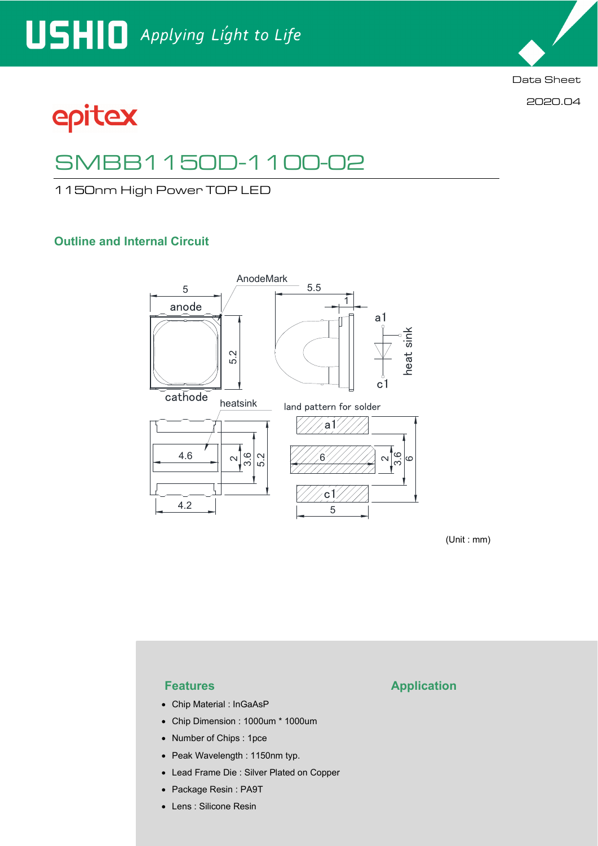

2020.04

# epitex

## SMBB1150D-1100-02

1150nm High Power TOP LED

### **Outline and Internal Circuit**



(Unit : mm)

- Chip Material : InGaAsP
- Chip Dimension : 1000um \* 1000um
- Number of Chips : 1pce
- Peak Wavelength : 1150nm typ.
- Lead Frame Die : Silver Plated on Copper
- Package Resin : PA9T
- Lens : Silicone Resin

### **Features Application**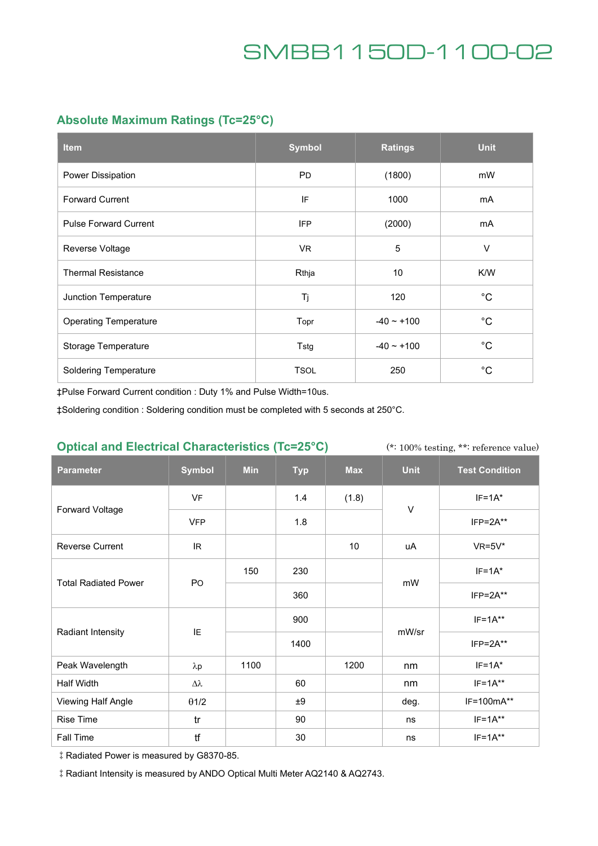### **Absolute Maximum Ratings (Tc=25°C)**

| <b>Item</b>                  | <b>Symbol</b> | <b>Ratings</b>  | <b>Unit</b>  |
|------------------------------|---------------|-----------------|--------------|
| Power Dissipation            | <b>PD</b>     | (1800)          | mW           |
| <b>Forward Current</b>       | IF            | 1000            | mA           |
| <b>Pulse Forward Current</b> | <b>IFP</b>    | (2000)          | mA           |
| Reverse Voltage              | VR.           | 5               | V            |
| <b>Thermal Resistance</b>    | Rthja         | 10              | K/W          |
| Junction Temperature         | Tj            | 120             | $^{\circ}C$  |
| <b>Operating Temperature</b> | Topr          | $-40 \sim +100$ | $^{\circ}$ C |
| Storage Temperature          | Tstg          | $-40 - +100$    | $^{\circ}$ C |
| <b>Soldering Temperature</b> | <b>TSOL</b>   | 250             | $^{\circ}C$  |

‡Pulse Forward Current condition : Duty 1% and Pulse Width=10us.

‡Soldering condition : Soldering condition must be completed with 5 seconds at 250°C.

### **Optical and Electrical Characteristics (Tc=25°C)**

(\*: 100% testing, \*\*: reference value)

| <b>Parameter</b>            | <b>Symbol</b>    | <b>Min</b> | <b>Typ</b> | <b>Max</b> | <b>Unit</b> | <b>Test Condition</b> |
|-----------------------------|------------------|------------|------------|------------|-------------|-----------------------|
| Forward Voltage             | <b>VF</b>        |            | 1.4        | (1.8)      | $\vee$      | $IF=1A*$              |
|                             | <b>VFP</b>       |            | 1.8        |            |             | $IFP = 2A**$          |
| <b>Reverse Current</b>      | IR.              |            |            | 10         | uA          | $VR=5V*$              |
| <b>Total Radiated Power</b> | PO               | 150        | 230        |            | mW          | $IF=1A*$              |
|                             |                  |            | 360        |            |             | $IFP = 2A**$          |
| <b>Radiant Intensity</b>    | IE               |            | 900        |            | mW/sr       | $IF=1A**$             |
|                             |                  |            | 1400       |            |             | $IFP = 2A**$          |
| Peak Wavelength             | $\lambda p$      | 1100       |            | 1200       | nm          | $IF=1A*$              |
| Half Width                  | $\Delta \lambda$ |            | 60         |            | nm          | $IF=1A**$             |
| Viewing Half Angle          | $\theta$ 1/2     |            | ±9         |            | deg.        | IF=100mA**            |
| Rise Time                   | tr               |            | 90         |            | ns          | $IF=1A**$             |
| Fall Time                   | tf               |            | 30         |            | ns          | $IF=1A**$             |

‡Radiated Power is measured by G8370-85.

‡Radiant Intensity is measured by ANDO Optical Multi Meter AQ2140 & AQ2743.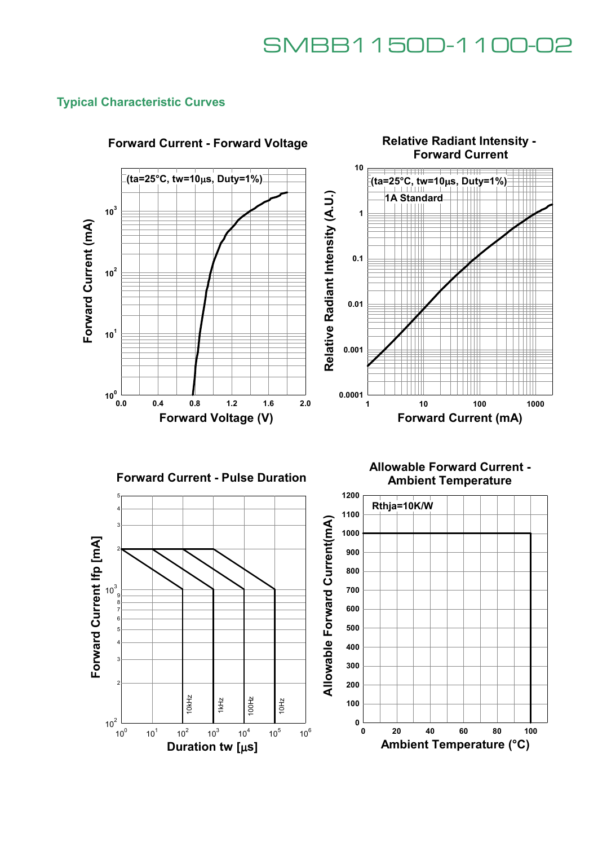### **Typical Characteristic Curves**



### **Forward Current - Forward Voltage**





**Allowable Forward Current - Ambient Temperature**

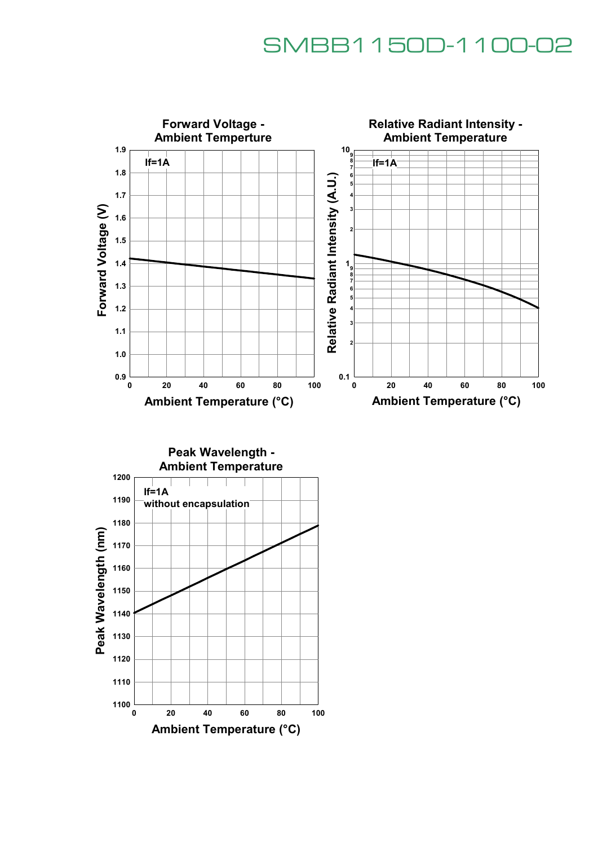

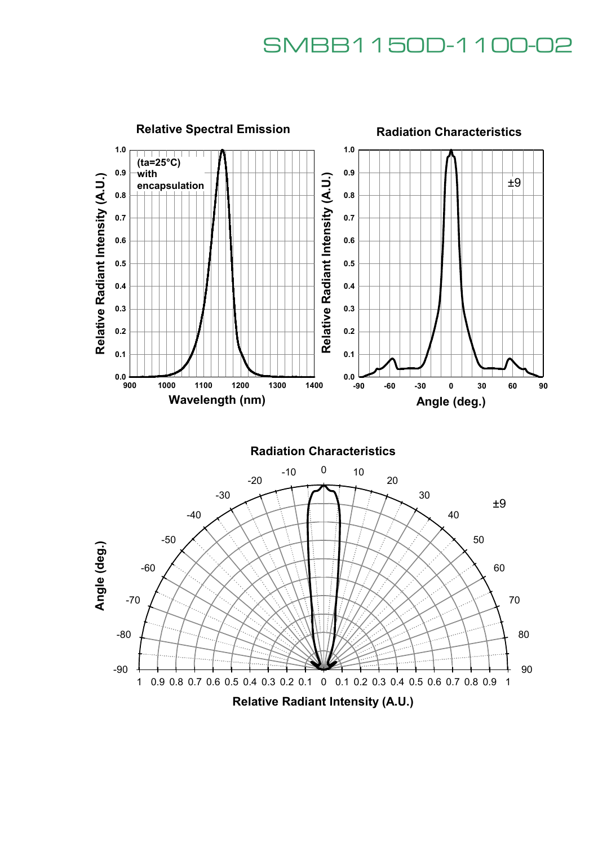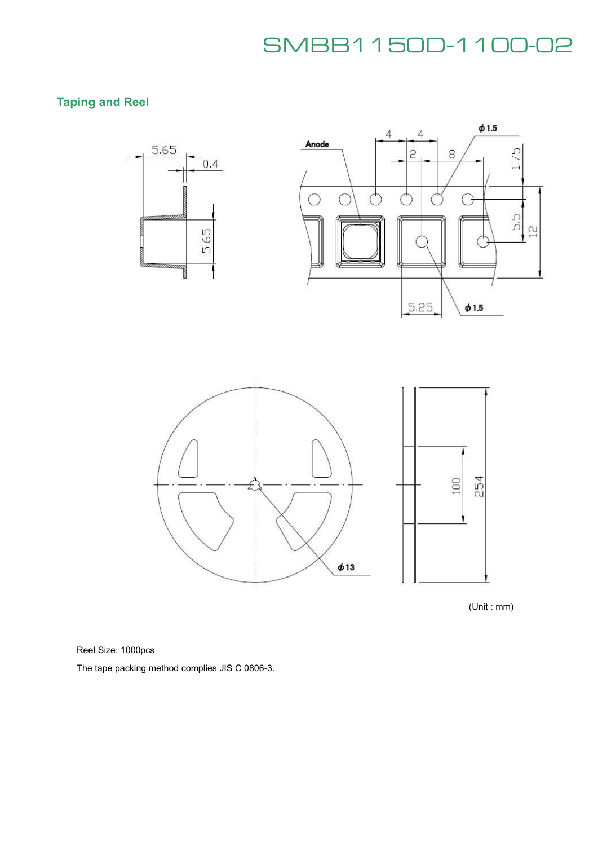## **Taping and Reel**



(Unit : mm)

Reel Size: 1000pcs

The tape packing method complies JIS C 0806-3.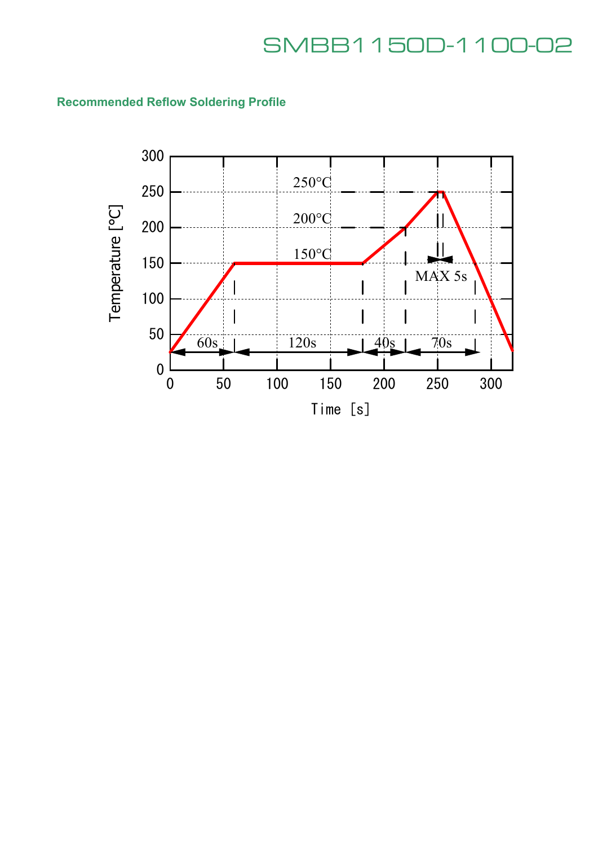## **Recommended Reflow Soldering Profile**

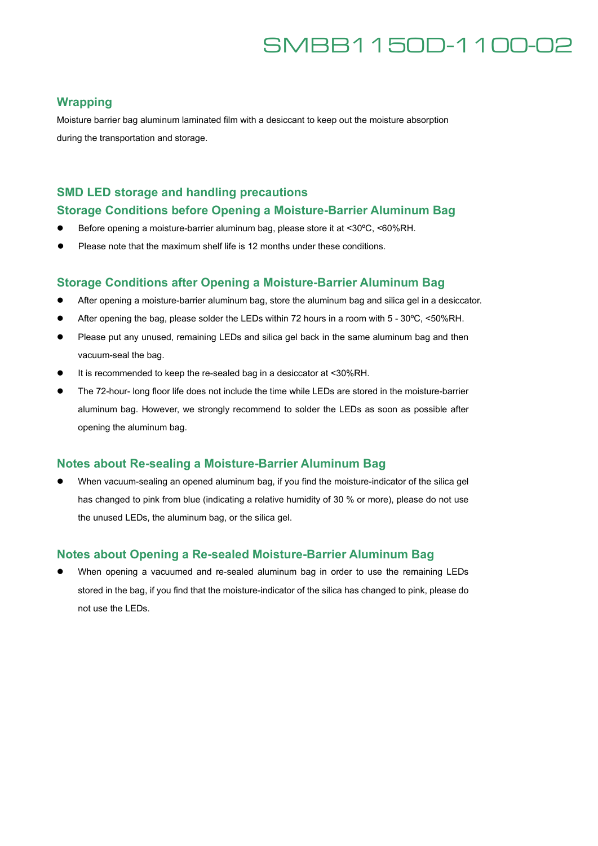### **Wrapping**

Moisture barrier bag aluminum laminated film with a desiccant to keep out the moisture absorption during the transportation and storage.

### **SMD LED storage and handling precautions**

#### **Storage Conditions before Opening a Moisture-Barrier Aluminum Bag**

- Before opening a moisture-barrier aluminum bag, please store it at <30°C, <60%RH.
- Please note that the maximum shelf life is 12 months under these conditions.

#### **Storage Conditions after Opening a Moisture-Barrier Aluminum Bag**

- After opening a moisture-barrier aluminum bag, store the aluminum bag and silica gel in a desiccator.
- After opening the bag, please solder the LEDs within 72 hours in a room with 5 30°C, <50%RH.
- Please put any unused, remaining LEDs and silica gel back in the same aluminum bag and then vacuum-seal the bag.
- It is recommended to keep the re-sealed bag in a desiccator at <30%RH.
- The 72-hour- long floor life does not include the time while LEDs are stored in the moisture-barrier aluminum bag. However, we strongly recommend to solder the LEDs as soon as possible after opening the aluminum bag.

### **Notes about Re-sealing a Moisture-Barrier Aluminum Bag**

 When vacuum-sealing an opened aluminum bag, if you find the moisture-indicator of the silica gel has changed to pink from blue (indicating a relative humidity of 30 % or more), please do not use the unused LEDs, the aluminum bag, or the silica gel.

### **Notes about Opening a Re-sealed Moisture-Barrier Aluminum Bag**

 When opening a vacuumed and re-sealed aluminum bag in order to use the remaining LEDs stored in the bag, if you find that the moisture-indicator of the silica has changed to pink, please do not use the LEDs.